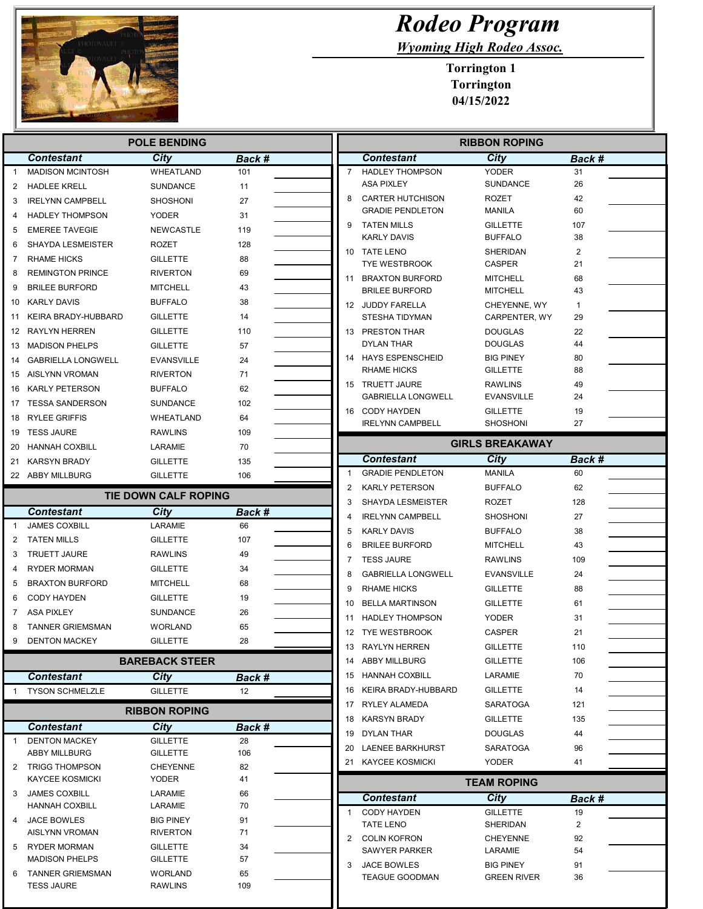

 $\overline{\phantom{a}}$ 

## Rodeo Program

Wyoming High Rodeo Assoc.

Torrington 1 Torrington 04/15/2022

| <b>POLE BENDING</b> |                                               |                                    |           |                     | <b>RIBBON ROPING</b>                                |                                     |                         |  |
|---------------------|-----------------------------------------------|------------------------------------|-----------|---------------------|-----------------------------------------------------|-------------------------------------|-------------------------|--|
|                     | <b>Contestant</b>                             | City                               | Back #    |                     | <b>Contestant</b>                                   | City                                | Back #                  |  |
| $\mathbf{1}$        | <b>MADISON MCINTOSH</b>                       | WHEATLAND                          | 101       | $\overline{7}$      | <b>HADLEY THOMPSON</b>                              | <b>YODER</b>                        | 31                      |  |
| 2                   | <b>HADLEE KRELL</b>                           | SUNDANCE                           | 11        |                     | <b>ASA PIXLEY</b>                                   | <b>SUNDANCE</b>                     | 26                      |  |
| 3                   | <b>IRELYNN CAMPBELL</b>                       | SHOSHONI                           | 27        | 8                   | <b>CARTER HUTCHISON</b>                             | ROZET                               | 42                      |  |
| 4                   | <b>HADLEY THOMPSON</b>                        | <b>YODER</b>                       | 31        |                     | <b>GRADIE PENDLETON</b>                             | <b>MANILA</b>                       | 60                      |  |
| 5                   | <b>EMEREE TAVEGIE</b>                         | <b>NEWCASTLE</b>                   | 119       | 9                   | <b>TATEN MILLS</b><br><b>KARLY DAVIS</b>            | <b>GILLETTE</b><br><b>BUFFALO</b>   | 107<br>38               |  |
| 6                   | <b>SHAYDA LESMEISTER</b>                      | ROZET                              | 128       |                     | 10 TATE LENO                                        | <b>SHERIDAN</b>                     | $\overline{\mathbf{c}}$ |  |
| 7                   | <b>RHAME HICKS</b>                            | <b>GILLETTE</b>                    | 88        |                     | <b>TYE WESTBROOK</b>                                | <b>CASPER</b>                       | 21                      |  |
| 8                   | <b>REMINGTON PRINCE</b>                       | RIVERTON                           | 69        |                     | 11 BRAXTON BURFORD                                  | <b>MITCHELL</b>                     | 68                      |  |
| 9                   | <b>BRILEE BURFORD</b>                         | MITCHELL                           | 43        |                     | <b>BRILEE BURFORD</b>                               | <b>MITCHELL</b>                     | 43                      |  |
| 10                  | <b>KARLY DAVIS</b>                            | <b>BUFFALO</b>                     | 38        |                     | 12 JUDDY FARELLA                                    | CHEYENNE, WY                        | $\mathbf{1}$            |  |
| 11                  | KEIRA BRADY-HUBBARD                           | <b>GILLETTE</b>                    | 14        |                     | STESHA TIDYMAN                                      | CARPENTER, WY                       | 29                      |  |
|                     | 12 RAYLYN HERREN                              | <b>GILLETTE</b>                    | 110       |                     | 13 PRESTON THAR                                     | <b>DOUGLAS</b>                      | 22                      |  |
| 13                  | <b>MADISON PHELPS</b>                         | <b>GILLETTE</b>                    | 57        |                     | <b>DYLAN THAR</b>                                   | DOUGLAS                             | 44                      |  |
| 14                  | <b>GABRIELLA LONGWELL</b>                     | EVANSVILLE                         | 24        |                     | 14 HAYS ESPENSCHEID                                 | <b>BIG PINEY</b>                    | 80                      |  |
| 15                  | AISLYNN VROMAN                                | <b>RIVERTON</b>                    | 71        |                     | <b>RHAME HICKS</b>                                  | <b>GILLETTE</b>                     | 88                      |  |
|                     | 16 KARLY PETERSON                             | <b>BUFFALO</b>                     | 62        |                     | 15 TRUETT JAURE<br><b>GABRIELLA LONGWELL</b>        | <b>RAWLINS</b><br><b>EVANSVILLE</b> | 49<br>24                |  |
| 17                  | TESSA SANDERSON                               | <b>SUNDANCE</b>                    | 102       |                     | 16 CODY HAYDEN                                      | <b>GILLETTE</b>                     | 19                      |  |
| 18                  | <b>RYLEE GRIFFIS</b>                          | WHEATLAND                          | 64        |                     | <b>IRELYNN CAMPBELL</b>                             | <b>SHOSHONI</b>                     | 27                      |  |
| 19                  | <b>TESS JAURE</b>                             | <b>RAWLINS</b>                     | 109       |                     |                                                     |                                     |                         |  |
| 20                  | <b>HANNAH COXBILL</b>                         | LARAMIE                            | 70        |                     |                                                     | <b>GIRLS BREAKAWAY</b>              |                         |  |
|                     | 21 KARSYN BRADY                               | <b>GILLETTE</b>                    | 135       |                     | Contestant                                          | City                                | Back #                  |  |
|                     | 22 ABBY MILLBURG                              | <b>GILLETTE</b>                    | 106       | -1                  | <b>GRADIE PENDLETON</b>                             | MANILA                              | 60                      |  |
|                     |                                               | <b>TIE DOWN CALF ROPING</b>        |           | $\overline{2}$<br>3 | <b>KARLY PETERSON</b>                               | <b>BUFFALO</b>                      | 62                      |  |
|                     | <b>Contestant</b>                             | City                               | Back #    | 4                   | <b>SHAYDA LESMEISTER</b><br><b>IRELYNN CAMPBELL</b> | ROZET<br><b>SHOSHONI</b>            | 128<br>27               |  |
| -1                  | <b>JAMES COXBILL</b>                          | LARAMIE                            | 66        | 5                   | <b>KARLY DAVIS</b>                                  | <b>BUFFALO</b>                      | 38                      |  |
| 2                   | <b>TATEN MILLS</b>                            | GILLETTE                           | 107       | 6                   | <b>BRILEE BURFORD</b>                               | <b>MITCHELL</b>                     | 43                      |  |
| 3                   | <b>TRUETT JAURE</b>                           | RAWLINS                            | 49        | 7                   | <b>TESS JAURE</b>                                   | <b>RAWLINS</b>                      | 109                     |  |
| 4                   | <b>RYDER MORMAN</b>                           | <b>GILLETTE</b>                    | 34        | 8                   | <b>GABRIELLA LONGWELL</b>                           | <b>EVANSVILLE</b>                   | 24                      |  |
| 5                   | <b>BRAXTON BURFORD</b>                        | <b>MITCHELL</b>                    | 68        | 9                   | <b>RHAME HICKS</b>                                  | <b>GILLETTE</b>                     | 88                      |  |
| 6                   | <b>CODY HAYDEN</b>                            | <b>GILLETTE</b>                    | 19        | 10                  | <b>BELLA MARTINSON</b>                              | <b>GILLETTE</b>                     | 61                      |  |
| 7                   | <b>ASA PIXLEY</b>                             | SUNDANCE                           | 26        | 11                  | <b>HADLEY THOMPSON</b>                              | <b>YODER</b>                        | 31                      |  |
| 8                   | <b>TANNER GRIEMSMAN</b>                       | WORLAND                            | 65        | 12                  | TYE WESTBROOK                                       | <b>CASPER</b>                       | 21                      |  |
| 9                   | <b>DENTON MACKEY</b>                          | <b>GILLETTE</b>                    | 28        | 13                  | RAYLYN HERREN                                       | <b>GILLETTE</b>                     | 110                     |  |
|                     |                                               | <b>BAREBACK STEER</b>              |           |                     | 14 ABBY MILLBURG                                    | <b>GILLETTE</b>                     | 106                     |  |
|                     | <b>Contestant</b>                             | City                               | Back #    |                     | 15 HANNAH COXBILL                                   | LARAMIE                             | 70                      |  |
|                     | <b>TYSON SCHMELZLE</b>                        | <b>GILLETTE</b>                    | 12        |                     | 16 KEIRA BRADY-HUBBARD                              | <b>GILLETTE</b>                     | 14                      |  |
|                     |                                               |                                    |           |                     | 17 RYLEY ALAMEDA                                    | SARATOGA                            | 121                     |  |
|                     | <b>RIBBON ROPING</b>                          |                                    |           |                     | 18 KARSYN BRADY                                     | <b>GILLETTE</b>                     | 135                     |  |
|                     | <b>Contestant</b>                             | City                               | Back #    |                     | 19 DYLAN THAR                                       | DOUGLAS                             | 44                      |  |
| 1                   | <b>DENTON MACKEY</b>                          | <b>GILLETTE</b>                    | 28<br>106 | 20                  | <b>LAENEE BARKHURST</b>                             | SARATOGA                            | 96                      |  |
| 2                   | <b>ABBY MILLBURG</b><br><b>TRIGG THOMPSON</b> | <b>GILLETTE</b><br><b>CHEYENNE</b> | 82        |                     | 21 KAYCEE KOSMICKI                                  | YODER                               | 41                      |  |
|                     | <b>KAYCEE KOSMICKI</b>                        | YODER                              | 41        |                     | <b>TEAM ROPING</b>                                  |                                     |                         |  |
| 3                   | <b>JAMES COXBILL</b>                          | LARAMIE                            | 66        |                     | <b>Contestant</b>                                   | City                                | Back #                  |  |
|                     | <b>HANNAH COXBILL</b>                         | LARAMIE                            | 70        | $\mathbf{1}$        | <b>CODY HAYDEN</b>                                  | <b>GILLETTE</b>                     | 19                      |  |
| 4                   | <b>JACE BOWLES</b>                            | <b>BIG PINEY</b>                   | 91        |                     | <b>TATE LENO</b>                                    | SHERIDAN                            | $\overline{2}$          |  |
|                     | AISLYNN VROMAN                                | RIVERTON                           | 71        |                     | 2 COLIN KOFRON                                      | <b>CHEYENNE</b>                     | 92                      |  |
| 5                   | RYDER MORMAN<br><b>MADISON PHELPS</b>         | <b>GILLETTE</b><br>GILLETTE        | 34<br>57  |                     | SAWYER PARKER                                       | LARAMIE                             | 54                      |  |
| 6                   | TANNER GRIEMSMAN                              | WORLAND                            | 65        | 3                   | <b>JACE BOWLES</b>                                  | <b>BIG PINEY</b>                    | 91                      |  |
|                     | <b>TESS JAURE</b>                             | RAWLINS                            | 109       |                     | <b>TEAGUE GOODMAN</b>                               | <b>GREEN RIVER</b>                  | 36                      |  |
|                     |                                               |                                    |           |                     |                                                     |                                     |                         |  |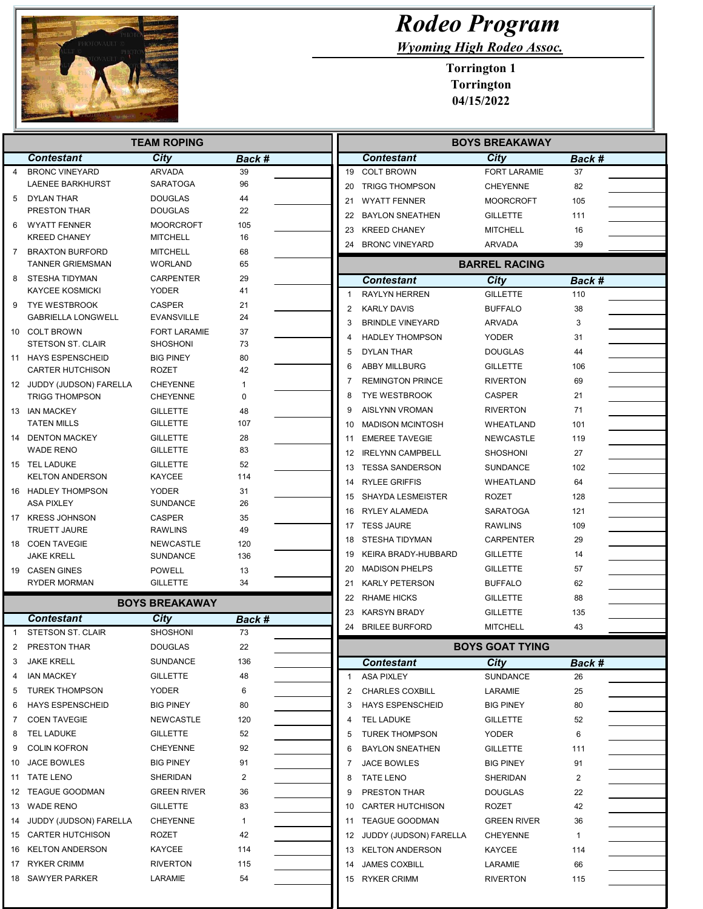

## Rodeo Program

Wyoming High Rodeo Assoc.

Torrington 1 Torrington 04/15/2022

| <b>TEAM ROPING</b> |                                            |                                        |              | <b>BOYS BREAKAWAY</b> |                |                           |                        |               |
|--------------------|--------------------------------------------|----------------------------------------|--------------|-----------------------|----------------|---------------------------|------------------------|---------------|
|                    | <b>Contestant</b>                          | City                                   | Back #       |                       |                | <b>Contestant</b>         | <b>City</b>            | Back #        |
| 4                  | <b>BRONC VINEYARD</b>                      | <b>ARVADA</b>                          | 39           |                       |                | 19 COLT BROWN             | <b>FORT LARAMIE</b>    | 37            |
|                    | LAENEE BARKHURST                           | <b>SARATOGA</b>                        | 96           |                       |                | 20 TRIGG THOMPSON         | <b>CHEYENNE</b>        | 82            |
| 5                  | DYLAN THAR                                 | <b>DOUGLAS</b>                         | 44           |                       | 21             | <b>WYATT FENNER</b>       | <b>MOORCROFT</b>       | 105           |
|                    | PRESTON THAR                               | <b>DOUGLAS</b>                         | 22           |                       | 22             | <b>BAYLON SNEATHEN</b>    | <b>GILLETTE</b>        | 111           |
| 6                  | <b>WYATT FENNER</b><br><b>KREED CHANEY</b> | <b>MOORCROFT</b><br><b>MITCHELL</b>    | 105<br>16    |                       | 23             | <b>KREED CHANEY</b>       | <b>MITCHELL</b>        | 16            |
| 7                  | <b>BRAXTON BURFORD</b>                     | <b>MITCHELL</b>                        | 68           |                       |                | 24 BRONC VINEYARD         | ARVADA                 | 39            |
|                    | <b>TANNER GRIEMSMAN</b>                    | WORLAND                                | 65           |                       |                |                           | <b>BARREL RACING</b>   |               |
| 8                  | STESHA TIDYMAN                             | <b>CARPENTER</b>                       | 29           |                       |                | <b>Contestant</b>         | <b>City</b>            | <b>Back #</b> |
|                    | <b>KAYCEE KOSMICKI</b>                     | <b>YODER</b>                           | 41           |                       | $\mathbf{1}$   | <b>RAYLYN HERREN</b>      | <b>GILLETTE</b>        | 110           |
| 9                  | <b>TYE WESTBROOK</b>                       | <b>CASPER</b>                          | 21           |                       | $\overline{2}$ | <b>KARLY DAVIS</b>        | <b>BUFFALO</b>         | 38            |
|                    | <b>GABRIELLA LONGWELL</b>                  | <b>EVANSVILLE</b>                      | 24           |                       | 3              | <b>BRINDLE VINEYARD</b>   | ARVADA                 | 3             |
|                    | 10 COLT BROWN<br><b>STETSON ST. CLAIR</b>  | <b>FORT LARAMIE</b><br><b>SHOSHONI</b> | 37<br>73     |                       | 4              | <b>HADLEY THOMPSON</b>    | <b>YODER</b>           | 31            |
|                    | 11 HAYS ESPENSCHEID                        | <b>BIG PINEY</b>                       | 80           |                       | 5              | DYLAN THAR                | DOUGLAS                | 44            |
|                    | <b>CARTER HUTCHISON</b>                    | <b>ROZET</b>                           | 42           |                       | 6              | <b>ABBY MILLBURG</b>      | <b>GILLETTE</b>        | 106           |
|                    | 12 JUDDY (JUDSON) FARELLA                  | <b>CHEYENNE</b>                        | -1           |                       | 7              | <b>REMINGTON PRINCE</b>   | <b>RIVERTON</b>        | 69            |
|                    | <b>TRIGG THOMPSON</b>                      | <b>CHEYENNE</b>                        | 0            |                       | 8              | <b>TYE WESTBROOK</b>      | CASPER                 | 21            |
|                    | 13 IAN MACKEY                              | <b>GILLETTE</b>                        | 48           |                       | 9              | <b>AISLYNN VROMAN</b>     | <b>RIVERTON</b>        | 71            |
|                    | <b>TATEN MILLS</b>                         | <b>GILLETTE</b>                        | 107          |                       | 10             | <b>MADISON MCINTOSH</b>   | <b>WHEATLAND</b>       | 101           |
|                    | 14 DENTON MACKEY                           | <b>GILLETTE</b>                        | 28           |                       | 11             | <b>EMEREE TAVEGIE</b>     | NEWCASTLE              | 119           |
|                    | <b>WADE RENO</b>                           | <b>GILLETTE</b>                        | 83           |                       |                | 12 IRELYNN CAMPBELL       | SHOSHONI               | 27            |
|                    | 15 TEL LADUKE                              | <b>GILLETTE</b>                        | 52           |                       |                | 13 TESSA SANDERSON        | SUNDANCE               | 102           |
|                    | <b>KELTON ANDERSON</b>                     | <b>KAYCEE</b>                          | 114          |                       | 14             | <b>RYLEE GRIFFIS</b>      | WHEATLAND              | 64            |
|                    | 16 HADLEY THOMPSON<br><b>ASA PIXLEY</b>    | <b>YODER</b><br><b>SUNDANCE</b>        | 31<br>26     |                       |                | 15 SHAYDA LESMEISTER      | <b>ROZET</b>           | 128           |
|                    | 17 KRESS JOHNSON                           | <b>CASPER</b>                          |              |                       |                | 16 RYLEY ALAMEDA          | <b>SARATOGA</b>        | 121           |
|                    | <b>TRUETT JAURE</b>                        | <b>RAWLINS</b>                         | 35<br>49     |                       |                | 17 TESS JAURE             | <b>RAWLINS</b>         | 109           |
|                    | 18 COEN TAVEGIE                            | <b>NEWCASTLE</b>                       | 120          |                       |                | 18 STESHA TIDYMAN         | <b>CARPENTER</b>       | 29            |
|                    | JAKE KRELL                                 | <b>SUNDANCE</b>                        | 136          |                       | 19             | KEIRA BRADY-HUBBARD       | <b>GILLETTE</b>        | 14            |
|                    | 19 CASEN GINES                             | <b>POWELL</b>                          | 13           |                       | 20             | <b>MADISON PHELPS</b>     | <b>GILLETTE</b>        | 57            |
|                    | RYDER MORMAN                               | <b>GILLETTE</b>                        | 34           |                       | 21             | <b>KARLY PETERSON</b>     | <b>BUFFALO</b>         | 62            |
|                    |                                            | <b>BOYS BREAKAWAY</b>                  |              |                       | 22             | <b>RHAME HICKS</b>        | <b>GILLETTE</b>        | 88            |
|                    | <b>Contestant</b>                          |                                        |              |                       | 23             | <b>KARSYN BRADY</b>       | <b>GILLETTE</b>        | 135           |
| $\mathbf{1}$       | <b>STETSON ST. CLAIR</b>                   | City<br><b>SHOSHONI</b>                | Back #<br>73 |                       |                | 24 BRILEE BURFORD         | <b>MITCHELL</b>        | 43            |
|                    | PRESTON THAR                               | <b>DOUGLAS</b>                         | 22           |                       |                |                           | <b>BOYS GOAT TYING</b> |               |
| 3                  | <b>JAKE KRELL</b>                          | SUNDANCE                               | 136          |                       |                | <b>Contestant</b>         | City                   | Back #        |
| 4                  | <b>IAN MACKEY</b>                          | <b>GILLETTE</b>                        | 48           |                       | $\mathbf{1}$   | <b>ASA PIXLEY</b>         | SUNDANCE               | 26            |
| 5                  | <b>TUREK THOMPSON</b>                      | YODER                                  | 6            |                       | 2              | <b>CHARLES COXBILL</b>    | LARAMIE                | 25            |
| 6                  | <b>HAYS ESPENSCHEID</b>                    | <b>BIG PINEY</b>                       | 80           |                       | 3              | <b>HAYS ESPENSCHEID</b>   | BIG PINEY              | 80            |
| 7                  | <b>COEN TAVEGIE</b>                        | NEWCASTLE                              | 120          |                       | 4              | TEL LADUKE                | GILLETTE               | 52            |
| 8                  | TEL LADUKE                                 | <b>GILLETTE</b>                        | 52           |                       | 5              | <b>TUREK THOMPSON</b>     | <b>YODER</b>           | 6             |
| 9                  | <b>COLIN KOFRON</b>                        | <b>CHEYENNE</b>                        | 92           |                       | 6              | <b>BAYLON SNEATHEN</b>    | <b>GILLETTE</b>        | 111           |
| 10                 | JACE BOWLES                                | <b>BIG PINEY</b>                       | 91           |                       | 7              | JACE BOWLES               | BIG PINEY              | 91            |
|                    | 11 TATE LENO                               | SHERIDAN                               | 2            |                       | 8              | <b>TATE LENO</b>          | SHERIDAN               | 2             |
| 12                 | <b>TEAGUE GOODMAN</b>                      | <b>GREEN RIVER</b>                     | 36           |                       | 9              | PRESTON THAR              | <b>DOUGLAS</b>         | 22            |
|                    | 13 WADE RENO                               | <b>GILLETTE</b>                        | 83           |                       | 10             | <b>CARTER HUTCHISON</b>   | ROZET                  | 42            |
| 14                 | JUDDY (JUDSON) FARELLA                     | <b>CHEYENNE</b>                        | $\mathbf{1}$ |                       |                | 11 TEAGUE GOODMAN         | GREEN RIVER            | 36            |
| 15                 | CARTER HUTCHISON                           | ROZET                                  | 42           |                       |                | 12 JUDDY (JUDSON) FARELLA | <b>CHEYENNE</b>        | $\mathbf{1}$  |
| 16                 | <b>KELTON ANDERSON</b>                     | KAYCEE                                 | 114          |                       |                | 13 KELTON ANDERSON        | KAYCEE                 | 114           |
| 17                 | RYKER CRIMM                                | <b>RIVERTON</b>                        | 115          |                       | 14             | <b>JAMES COXBILL</b>      | LARAMIE                | 66            |
|                    | 18 SAWYER PARKER                           | LARAMIE                                | 54           |                       |                | 15 RYKER CRIMM            | RIVERTON               | 115           |
|                    |                                            |                                        |              |                       |                |                           |                        |               |